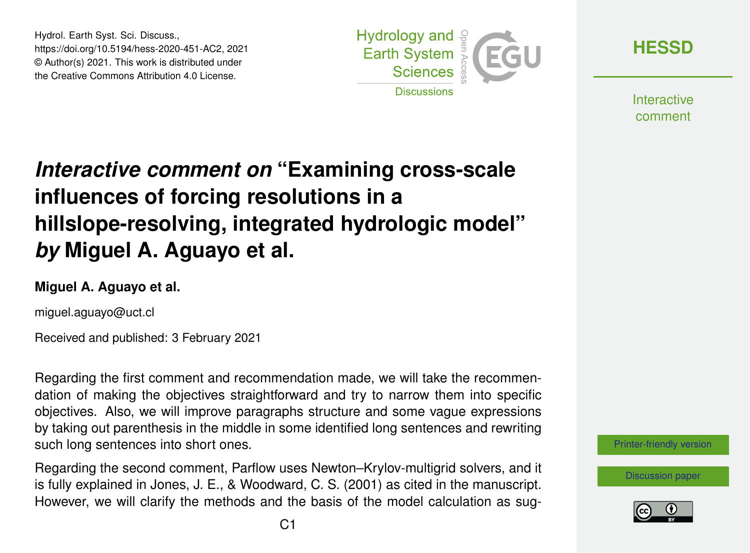Hydrol. Earth Syst. Sci. Discuss., https://doi.org/10.5194/hess-2020-451-AC2, 2021 © Author(s) 2021. This work is distributed under the Creative Commons Attribution 4.0 License.



**[HESSD](https://hess.copernicus.org/preprints/)**

**Interactive** comment

## *Interactive comment on* **"Examining cross-scale influences of forcing resolutions in a hillslope-resolving, integrated hydrologic model"** *by* **Miguel A. Aguayo et al.**

## **Miguel A. Aguayo et al.**

miguel.aguayo@uct.cl

Received and published: 3 February 2021

Regarding the first comment and recommendation made, we will take the recommendation of making the objectives straightforward and try to narrow them into specific objectives. Also, we will improve paragraphs structure and some vague expressions by taking out parenthesis in the middle in some identified long sentences and rewriting such long sentences into short ones.

Regarding the second comment, Parflow uses Newton–Krylov-multigrid solvers, and it is fully explained in Jones, J. E., & Woodward, C. S. (2001) as cited in the manuscript. However, we will clarify the methods and the basis of the model calculation as sug-



[Discussion paper](https://hess.copernicus.org/preprints/hess-2020-451)